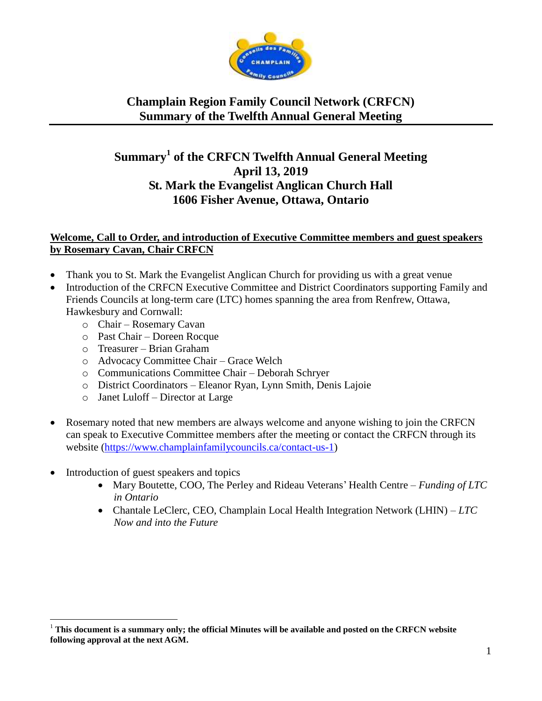

### **Summary<sup>1</sup> of the CRFCN Twelfth Annual General Meeting April 13, 2019 St. Mark the Evangelist Anglican Church Hall 1606 Fisher Avenue, Ottawa, Ontario**

#### **Welcome, Call to Order, and introduction of Executive Committee members and guest speakers by Rosemary Cavan, Chair CRFCN**

- Thank you to St. Mark the Evangelist Anglican Church for providing us with a great venue
- Introduction of the CRFCN Executive Committee and District Coordinators supporting Family and Friends Councils at long-term care (LTC) homes spanning the area from Renfrew, Ottawa, Hawkesbury and Cornwall:
	- o Chair Rosemary Cavan
	- o Past Chair Doreen Rocque
	- o Treasurer Brian Graham
	- o Advocacy Committee Chair Grace Welch
	- o Communications Committee Chair Deborah Schryer
	- o District Coordinators Eleanor Ryan, Lynn Smith, Denis Lajoie
	- o Janet Luloff Director at Large
- Rosemary noted that new members are always welcome and anyone wishing to join the CRFCN can speak to Executive Committee members after the meeting or contact the CRFCN through its website [\(https://www.champlainfamilycouncils.ca/contact-us-1\)](https://www.champlainfamilycouncils.ca/contact-us-1)
- Introduction of guest speakers and topics

 $\overline{a}$ 

- Mary Boutette, COO, The Perley and Rideau Veterans' Health Centre *Funding of LTC in Ontario*
- Chantale LeClerc, CEO, Champlain Local Health Integration Network (LHIN) *LTC Now and into the Future*

<sup>1</sup> **This document is a summary only; the official Minutes will be available and posted on the CRFCN website following approval at the next AGM.**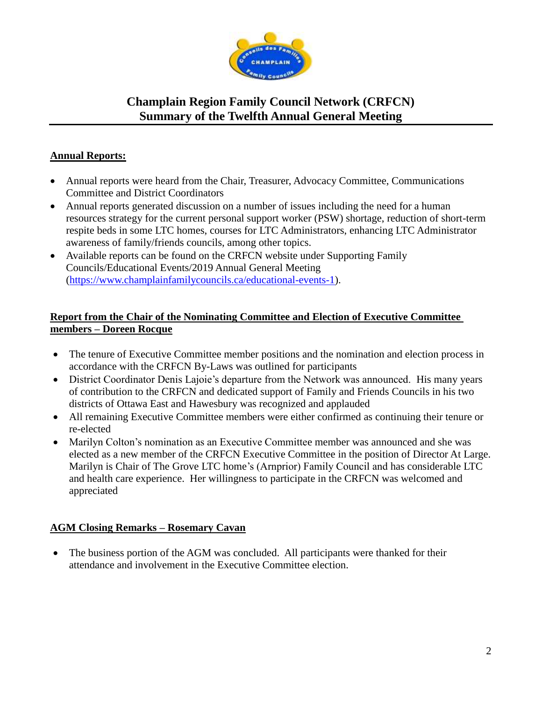

### **Annual Reports:**

- Annual reports were heard from the Chair, Treasurer, Advocacy Committee, Communications Committee and District Coordinators
- Annual reports generated discussion on a number of issues including the need for a human resources strategy for the current personal support worker (PSW) shortage, reduction of short-term respite beds in some LTC homes, courses for LTC Administrators, enhancing LTC Administrator awareness of family/friends councils, among other topics.
- Available reports can be found on the CRFCN website under Supporting Family Councils/Educational Events/2019 Annual General Meeting [\(https://www.champlainfamilycouncils.ca/educational-events-1\)](https://www.champlainfamilycouncils.ca/educational-events-1).

#### **Report from the Chair of the Nominating Committee and Election of Executive Committee members – Doreen Rocque**

- The tenure of Executive Committee member positions and the nomination and election process in accordance with the CRFCN By-Laws was outlined for participants
- District Coordinator Denis Lajoie's departure from the Network was announced. His many years of contribution to the CRFCN and dedicated support of Family and Friends Councils in his two districts of Ottawa East and Hawesbury was recognized and applauded
- All remaining Executive Committee members were either confirmed as continuing their tenure or re-elected
- Marilyn Colton's nomination as an Executive Committee member was announced and she was elected as a new member of the CRFCN Executive Committee in the position of Director At Large. Marilyn is Chair of The Grove LTC home's (Arnprior) Family Council and has considerable LTC and health care experience. Her willingness to participate in the CRFCN was welcomed and appreciated

### **AGM Closing Remarks – Rosemary Cavan**

• The business portion of the AGM was concluded. All participants were thanked for their attendance and involvement in the Executive Committee election.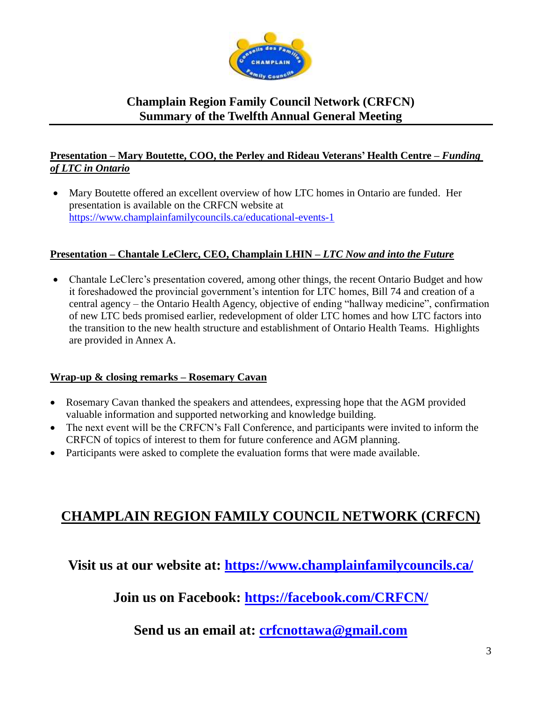

#### **Presentation – Mary Boutette, COO, the Perley and Rideau Veterans' Health Centre –** *Funding of LTC in Ontario*

 Mary Boutette offered an excellent overview of how LTC homes in Ontario are funded. Her presentation is available on the CRFCN website at <https://www.champlainfamilycouncils.ca/educational-events-1>

### **Presentation – Chantale LeClerc, CEO, Champlain LHIN –** *LTC Now and into the Future*

• Chantale LeClerc's presentation covered, among other things, the recent Ontario Budget and how it foreshadowed the provincial government's intention for LTC homes, Bill 74 and creation of a central agency – the Ontario Health Agency, objective of ending "hallway medicine", confirmation of new LTC beds promised earlier, redevelopment of older LTC homes and how LTC factors into the transition to the new health structure and establishment of Ontario Health Teams. Highlights are provided in Annex A.

#### **Wrap-up & closing remarks – Rosemary Cavan**

- Rosemary Cavan thanked the speakers and attendees, expressing hope that the AGM provided valuable information and supported networking and knowledge building.
- The next event will be the CRFCN's Fall Conference, and participants were invited to inform the CRFCN of topics of interest to them for future conference and AGM planning.
- Participants were asked to complete the evaluation forms that were made available.

# **CHAMPLAIN REGION FAMILY COUNCIL NETWORK (CRFCN)**

# **Visit us at our website at:<https://www.champlainfamilycouncils.ca/>**

**Join us on Facebook:<https://facebook.com/CRFCN/>**

**Send us an email at: [crfcnottawa@gmail.com](mailto:crfcnottawa@gmail.com)**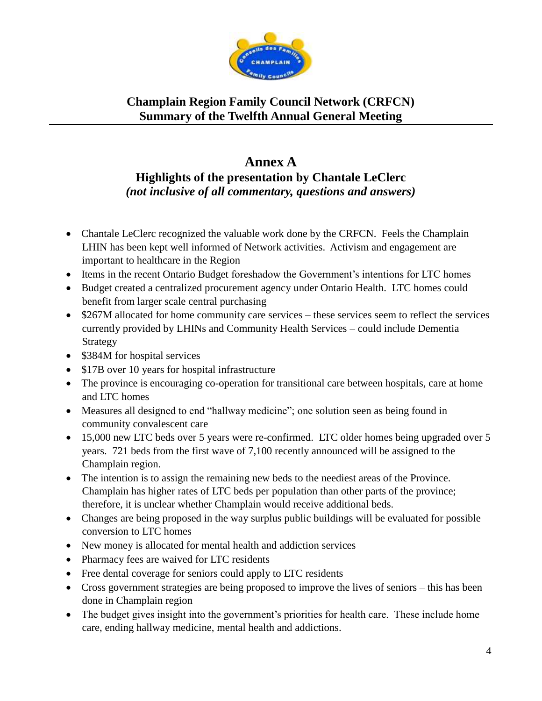

### **Annex A Highlights of the presentation by Chantale LeClerc** *(not inclusive of all commentary, questions and answers)*

- Chantale LeClerc recognized the valuable work done by the CRFCN. Feels the Champlain LHIN has been kept well informed of Network activities. Activism and engagement are important to healthcare in the Region
- Items in the recent Ontario Budget foreshadow the Government's intentions for LTC homes
- Budget created a centralized procurement agency under Ontario Health. LTC homes could benefit from larger scale central purchasing
- \$267M allocated for home community care services these services seem to reflect the services currently provided by LHINs and Community Health Services – could include Dementia Strategy
- \$384M for hospital services
- \$17B over 10 years for hospital infrastructure
- The province is encouraging co-operation for transitional care between hospitals, care at home and LTC homes
- Measures all designed to end "hallway medicine"; one solution seen as being found in community convalescent care
- 15,000 new LTC beds over 5 years were re-confirmed. LTC older homes being upgraded over 5 years. 721 beds from the first wave of 7,100 recently announced will be assigned to the Champlain region.
- The intention is to assign the remaining new beds to the neediest areas of the Province. Champlain has higher rates of LTC beds per population than other parts of the province; therefore, it is unclear whether Champlain would receive additional beds.
- Changes are being proposed in the way surplus public buildings will be evaluated for possible conversion to LTC homes
- New money is allocated for mental health and addiction services
- Pharmacy fees are waived for LTC residents
- Free dental coverage for seniors could apply to LTC residents
- Cross government strategies are being proposed to improve the lives of seniors this has been done in Champlain region
- The budget gives insight into the government's priorities for health care. These include home care, ending hallway medicine, mental health and addictions.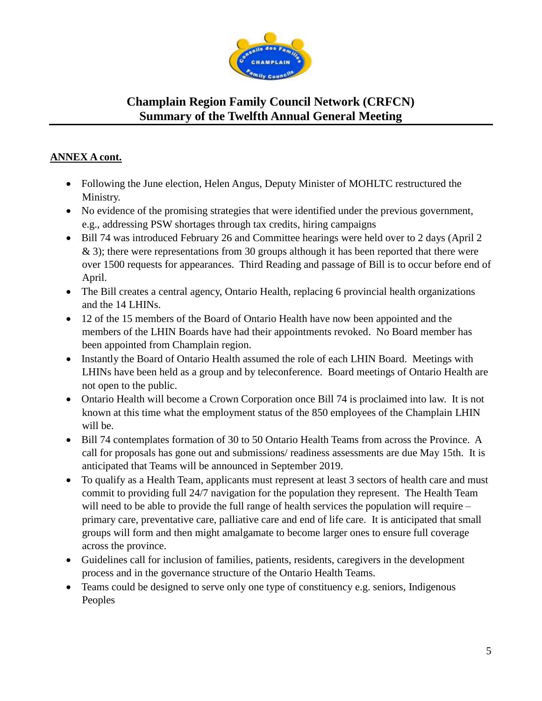

#### **ANNEX A cont.**

- Following the June election, Helen Angus, Deputy Minister of MOHLTC restructured the Ministry.
- No evidence of the promising strategies that were identified under the previous government, e.g., addressing PSW shortages through tax credits, hiring campaigns
- Bill 74 was introduced February 26 and Committee hearings were held over to 2 days (April 2 & 3); there were representations from 30 groups although it has been reported that there were over 1500 requests for appearances. Third Reading and passage of Bill is to occur before end of April.
- The Bill creates a central agency, Ontario Health, replacing 6 provincial health organizations and the 14 LHINs.
- 12 of the 15 members of the Board of Ontario Health have now been appointed and the members of the LHIN Boards have had their appointments revoked. No Board member has been appointed from Champlain region.
- Instantly the Board of Ontario Health assumed the role of each LHIN Board. Meetings with LHINs have been held as a group and by teleconference. Board meetings of Ontario Health are not open to the public.
- Ontario Health will become a Crown Corporation once Bill 74 is proclaimed into law. It is not known at this time what the employment status of the 850 employees of the Champlain LHIN will be.
- Bill 74 contemplates formation of 30 to 50 Ontario Health Teams from across the Province. A call for proposals has gone out and submissions/ readiness assessments are due May 15th. It is anticipated that Teams will be announced in September 2019.
- To qualify as a Health Team, applicants must represent at least 3 sectors of health care and must commit to providing full 24/7 navigation for the population they represent. The Health Team will need to be able to provide the full range of health services the population will require – primary care, preventative care, palliative care and end of life care. It is anticipated that small groups will form and then might amalgamate to become larger ones to ensure full coverage across the province.
- Guidelines call for inclusion of families, patients, residents, caregivers in the development process and in the governance structure of the Ontario Health Teams.
- Teams could be designed to serve only one type of constituency e.g. seniors, Indigenous Peoples